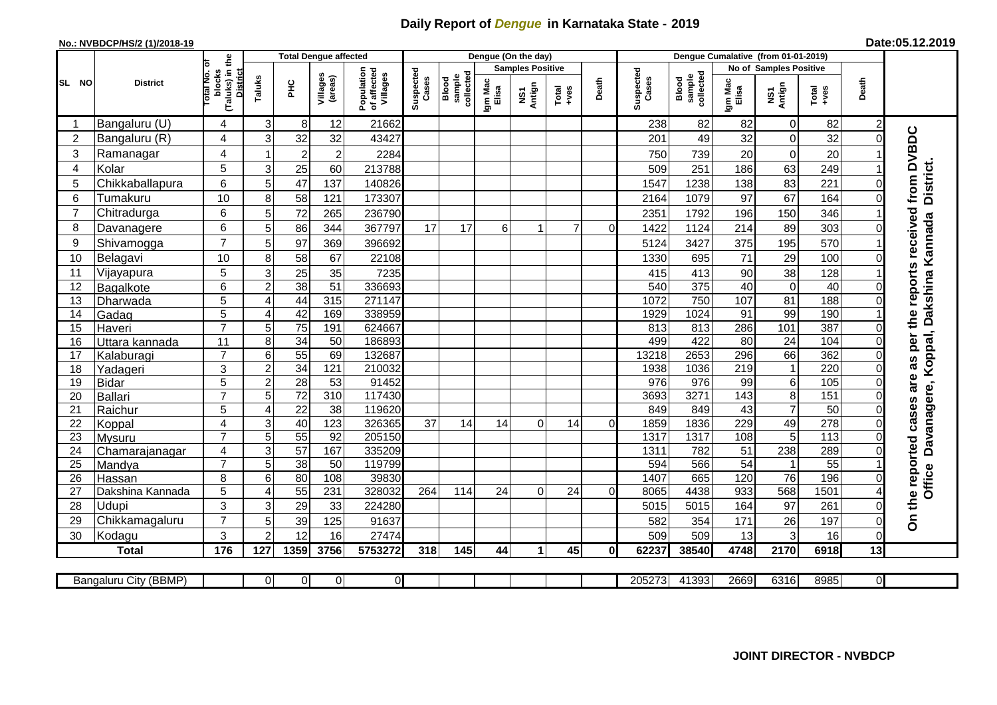## **Daily Report of** *Dengue* **in Karnataka State - 2019**

## **No.: NVBDCP/HS/2 (1)/2018-19**

**Date:05.12.2019**

|                | <b>Total Dengue affected</b><br>the |                                                           |                           |                       |                     |                                       |                    |                              | Dengue (On the day) |                         |                 |                |                    |                              |                  |                                 |                 |                |                                        |
|----------------|-------------------------------------|-----------------------------------------------------------|---------------------------|-----------------------|---------------------|---------------------------------------|--------------------|------------------------------|---------------------|-------------------------|-----------------|----------------|--------------------|------------------------------|------------------|---------------------------------|-----------------|----------------|----------------------------------------|
|                |                                     |                                                           |                           |                       |                     |                                       |                    |                              |                     | <b>Samples Positive</b> |                 |                |                    |                              |                  | <b>No of Samples Positive</b>   |                 |                |                                        |
| SL NO          | <b>District</b>                     | otal No. of<br>blocks<br>(Taluks) in t<br><b>District</b> | Taluks                    | Ξ                     | Villages<br>(areas) | Population<br>of affected<br>Villages | Suspected<br>Cases | collected<br>sample<br>Blood | Igm Mac<br>Elisa    | NS1<br>Antign           | Total<br>+ves   | Death          | Suspected<br>Cases | sample<br>collected<br>Blood | Igm Mac<br>Elisa | NS1<br>Antign                   | Total<br>+ves   | Death          |                                        |
|                | Bangaluru (U)                       | 4                                                         | 3                         | 8                     | 12                  | 21662                                 |                    |                              |                     |                         |                 |                | 238                | 82                           | 82               | $\mathbf 0$                     | 82              | $\overline{c}$ |                                        |
| $\overline{2}$ | Bangaluru (R)                       | 4                                                         | 3                         | 32                    | 32                  | 43427                                 |                    |                              |                     |                         |                 |                | 201                | 49                           | 32               | $\mathbf 0$                     | 32              | $\Omega$       |                                        |
| 3              | Ramanagar                           | 4                                                         |                           | $\overline{2}$        | $\overline{2}$      | 2284                                  |                    |                              |                     |                         |                 |                | 750                | 739                          | 20               | $\mathbf 0$                     | 20              |                | as per the reports received from DVBDC |
| 4              | Kolar                               | 5                                                         | 3                         | 25                    | 60                  | 213788                                |                    |                              |                     |                         |                 |                | 509                | 251                          | 186              | 63                              | 249             |                |                                        |
| 5              | Chikkaballapura                     | 6                                                         | 5                         | 47                    | 137                 | 140826                                |                    |                              |                     |                         |                 |                | 1547               | 1238                         | 138              | 83                              | 221             | $\Omega$       | <b>District.</b>                       |
| 6              | Tumakuru                            | 10                                                        | 8                         | 58                    | 121                 | 173307                                |                    |                              |                     |                         |                 |                | 2164               | 1079                         | 97               | 67                              | 164             | $\Omega$       |                                        |
| 7              | Chitradurga                         | 6                                                         | 5                         | 72                    | 265                 | 236790                                |                    |                              |                     |                         |                 |                | 2351               | 1792                         | 196              | 150                             | 346             |                |                                        |
| 8              | Davanagere                          | 6                                                         | 5                         | 86                    | 344                 | 367797                                | 17                 | 17                           | 6                   |                         | $\overline{7}$  | $\Omega$       | 1422               | 1124                         | 214              | 89                              | 303             | $\Omega$       |                                        |
| 9              | Shivamogga                          | $\overline{7}$                                            | 5                         | 97                    | 369                 | 396692                                |                    |                              |                     |                         |                 |                | 5124               | 3427                         | 375              | 195                             | 570             |                | Dakshina Kannada                       |
| 10             | Belagavi                            | 10                                                        | 8                         | 58                    | 67                  | 22108                                 |                    |                              |                     |                         |                 |                | 1330               | 695                          | 71               | 29                              | 100             | $\Omega$       |                                        |
| 11             | Vijayapura                          | 5                                                         | 3                         | 25                    | 35                  | 7235                                  |                    |                              |                     |                         |                 |                | 415                | 413                          | 90               | 38                              | 128             |                |                                        |
| 12             | Bagalkote                           | 6                                                         | $\overline{2}$            | 38                    | 51                  | 336693                                |                    |                              |                     |                         |                 |                | 540                | 375                          | 40               | $\overline{0}$                  | 40              | $\Omega$       |                                        |
| 13             | Dharwada                            | 5                                                         | $\overline{\mathbf{4}}$   | 44                    | 315                 | 271147                                |                    |                              |                     |                         |                 |                | 1072               | 750                          | 107              | 81                              | 188             | $\mathbf 0$    |                                        |
| 14             | Gadag                               | $\overline{5}$                                            | 4                         | 42                    | 169                 | 338959                                |                    |                              |                     |                         |                 |                | 1929               | 1024                         | 91               | 99                              | 190             |                |                                        |
| 15             | Haveri                              | $\overline{7}$                                            | 5                         | $\overline{75}$       | 191                 | 624667                                |                    |                              |                     |                         |                 |                | 813                | 813                          | 286              | 101                             | 387             | $\Omega$       |                                        |
| 16             | Uttara kannada                      | 11                                                        | 8                         | 34                    | 50                  | 186893                                |                    |                              |                     |                         |                 |                | 499                | 422                          | $\overline{80}$  | $\overline{24}$                 | 104             | $\Omega$       |                                        |
| 17             | Kalaburagi                          | $\overline{7}$                                            | $\,6$                     | 55                    | 69                  | 132687                                |                    |                              |                     |                         |                 |                | 13218              | 2653                         | 296              | 66                              | 362             | $\Omega$       |                                        |
| 18             | Yadageri                            | 3                                                         | $\mathbf 2$               | $\overline{34}$       | 121                 | 210032                                |                    |                              |                     |                         |                 |                | 1938               | 1036                         | 219              | $\mathbf{1}$                    | 220             | $\Omega$       |                                        |
| 19             | Bidar                               | 5                                                         | $\sqrt{2}$                | 28                    | 53                  | 91452                                 |                    |                              |                     |                         |                 |                | 976                | 976                          | 99               | $\,$ 6 $\,$                     | $\frac{105}{2}$ | $\Omega$       |                                        |
| 20             | <b>Ballari</b>                      | $\overline{7}$                                            | 5                         | $\overline{72}$       | $\overline{310}$    | 117430                                |                    |                              |                     |                         |                 |                | 3693               | 3271                         | 143              | $\overline{8}$                  | 151             | $\Omega$       |                                        |
| 21             | Raichur                             | 5                                                         | 4                         | $\overline{22}$       | 38                  | 119620                                |                    |                              |                     |                         |                 |                | 849                | 849                          | 43               | $\overline{7}$                  | 50              | $\mathbf 0$    | Davanagere, Koppal,                    |
| 22             | Koppal                              | $\overline{\mathbf{4}}$                                   | $\ensuremath{\mathsf{3}}$ | 40                    | 123                 | 326365                                | 37                 | 14                           | 14                  | $\Omega$                | 14              | $\overline{0}$ | 1859               | 1836                         | 229              | 49                              | 278             | 0              |                                        |
| 23             | Mysuru                              | $\overline{7}$                                            | $\overline{5}$            | 55                    | $\overline{92}$     | 205150                                |                    |                              |                     |                         |                 |                | 1317               | 1317                         | 108              | $\overline{5}$                  | 113             | $\mathbf 0$    |                                        |
| 24             | Chamarajanagar                      | 4<br>$\overline{7}$                                       | $\overline{3}$            | 57                    | 167                 | 335209                                |                    |                              |                     |                         |                 |                | 1311               | 782                          | 51               | 238                             | 289             | $\Omega$       |                                        |
| 25             | Mandya                              | 8                                                         | 5                         | $\overline{38}$<br>80 | 50                  | 119799                                |                    |                              |                     |                         |                 |                | 594                | 566                          | 54               | $\mathbf{1}$<br>$\overline{76}$ | 55<br>196       | $\Omega$       | Office                                 |
| 26<br>27       | Hassan                              | 5                                                         | 6<br>4                    | 55                    | 108<br>231          | 39830<br>328032                       | 264                | 114                          | $\overline{24}$     | $\Omega$                | $\overline{24}$ | $\Omega$       | 1407<br>8065       | 665<br>4438                  | 120<br>933       | 568                             | 1501            |                |                                        |
| 28             | Dakshina Kannada<br>Udupi           | 3                                                         | 3                         | 29                    |                     | 224280                                |                    |                              |                     |                         |                 |                | 5015               | 5015                         | 164              | 97                              | 261             | $\Omega$       |                                        |
| 29             | Chikkamagaluru                      | $\overline{7}$                                            | 5                         | 39                    | 33<br>125           | 91637                                 |                    |                              |                     |                         |                 |                | 582                | 354                          | 171              | 26                              | 197             | 0              | On the reported cases are              |
| 30             |                                     | 3                                                         | $\overline{2}$            | 12                    | 16                  | 27474                                 |                    |                              |                     |                         |                 |                | 509                | 509                          | 13               | 3                               | 16              | $\pmb{0}$      |                                        |
|                | Kodagu<br><b>Total</b>              | 176                                                       | 127                       | 1359                  | 3756                | 5753272                               | 318                | 145                          | 44                  | 1                       | 45              | $\mathbf 0$    | 62237              | 38540                        | 4748             | 2170                            | 6918            | 13             |                                        |
|                |                                     |                                                           |                           |                       |                     |                                       |                    |                              |                     |                         |                 |                |                    |                              |                  |                                 |                 |                |                                        |
|                | Bangaluru City (BBMP)               |                                                           | $\Omega$                  | $\overline{0}$        | $\Omega$            | $\overline{0}$                        |                    |                              |                     |                         |                 |                | 205273             | 41393                        | 2669             | 6316                            | 8985            | $\Omega$       |                                        |